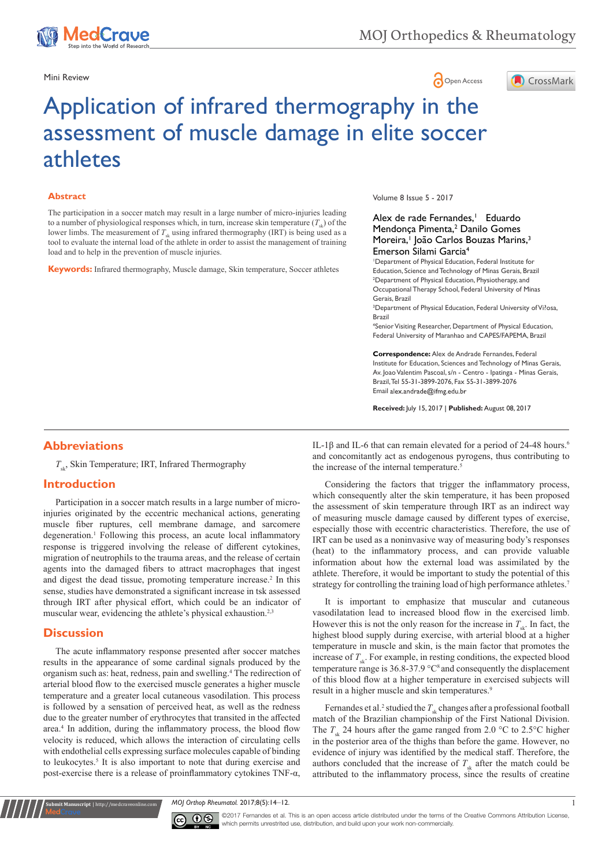

## Mini Review **Open Access**



# Application of infrared thermography in the assessment of muscle damage in elite soccer athletes

#### **Abstract**

The participation in a soccer match may result in a large number of micro-injuries leading to a number of physiological responses which, in turn, increase skin temperature  $(T<sub>s</sub>)$  of the lower limbs. The measurement of  $T_{s_k}$  using infrared thermography (IRT) is being used as a tool to evaluate the internal load of the athlete in order to assist the management of training load and to help in the prevention of muscle injuries.

**Keywords:** Infrared thermography, Muscle damage, Skin temperature, Soccer athletes

Volume 8 Issue 5 - 2017

#### Alex de rade Fernandes,<sup>1</sup> Eduardo Mendonça Pimenta,<sup>2</sup> Danilo Gomes Moreira,<sup>1</sup> João Carlos Bouzas Marins,<sup>3</sup> Emerson Silami Garcia4

1 Department of Physical Education, Federal Institute for Education, Science and Technology of Minas Gerais, Brazil <sup>2</sup>Department of Physical Education, Physiotherapy, and Occupational Therapy School, Federal University of Minas Gerais, Brazil

<sup>3</sup>Department of Physical Education, Federal University of Vi?osa, Brazil

4 Senior Visiting Researcher, Department of Physical Education, Federal University of Maranhao and CAPES/FAPEMA, Brazil

**Correspondence:** Alex de Andrade Fernandes, Federal Institute for Education, Sciences and Technology of Minas Gerais, Av. Joao Valentim Pascoal, s/n - Centro - Ipatinga - Minas Gerais, Brazil, Tel 55-31-3899-2076, Fax 55-31-3899-2076 Email alex.andrade@ifmg.edu.br

**Received:** July 15, 2017 | **Published:** August 08, 2017

### **Abbreviations**

 $T_{\mu}$ , Skin Temperature; IRT, Infrared Thermography

### **Introduction**

Participation in a soccer match results in a large number of microinjuries originated by the eccentric mechanical actions, generating muscle fiber ruptures, cell membrane damage, and sarcomere degeneration.<sup>1</sup> Following this process, an acute local inflammatory response is triggered involving the release of different cytokines, migration of neutrophils to the trauma areas, and the release of certain agents into the damaged fibers to attract macrophages that ingest and digest the dead tissue, promoting temperature increase.<sup>2</sup> In this sense, studies have demonstrated a significant increase in tsk assessed through IRT after physical effort, which could be an indicator of muscular wear, evidencing the athlete's physical exhaustion.<sup>2,3</sup>

#### **Discussion**

**Submit Manuscript** | http://medcraveonline.com

The acute inflammatory response presented after soccer matches results in the appearance of some cardinal signals produced by the organism such as: heat, redness, pain and swelling.4 The redirection of arterial blood flow to the exercised muscle generates a higher muscle temperature and a greater local cutaneous vasodilation. This process is followed by a sensation of perceived heat, as well as the redness due to the greater number of erythrocytes that transited in the affected area.4 In addition, during the inflammatory process, the blood flow velocity is reduced, which allows the interaction of circulating cells with endothelial cells expressing surface molecules capable of binding to leukocytes.<sup>5</sup> It is also important to note that during exercise and post-exercise there is a release of proinflammatory cytokines TNF-α,

IL-1β and IL-6 that can remain elevated for a period of 24-48 hours.<sup>6</sup> and concomitantly act as endogenous pyrogens, thus contributing to the increase of the internal temperature.<sup>5</sup>

Considering the factors that trigger the inflammatory process, which consequently alter the skin temperature, it has been proposed the assessment of skin temperature through IRT as an indirect way of measuring muscle damage caused by different types of exercise, especially those with eccentric characteristics. Therefore, the use of IRT can be used as a noninvasive way of measuring body's responses (heat) to the inflammatory process, and can provide valuable information about how the external load was assimilated by the athlete. Therefore, it would be important to study the potential of this strategy for controlling the training load of high performance athletes.<sup>7</sup>

It is important to emphasize that muscular and cutaneous vasodilatation lead to increased blood flow in the exercised limb. However this is not the only reason for the increase in  $T_{st}$ . In fact, the highest blood supply during exercise, with arterial blood at a higher temperature in muscle and skin, is the main factor that promotes the increase of  $T_{\mu}$ . For example, in resting conditions, the expected blood temperature range is 36.8-37.9 °C<sup>8</sup> and consequently the displacement of this blood flow at a higher temperature in exercised subjects will result in a higher muscle and skin temperatures.<sup>9</sup>

Fernandes et al.<sup>2</sup> studied the  $T_{sk}$  changes after a professional football match of the Brazilian championship of the First National Division. The  $T_{\rm sk}$  24 hours after the game ranged from 2.0 °C to 2.5°C higher in the posterior area of the thighs than before the game. However, no evidence of injury was identified by the medical staff. Therefore, the authors concluded that the increase of  $T_{sk}$  after the match could be attributed to the inflammatory process, since the results of creatine

*MOJ Orthop Rheumatol.* 2017;8(5):14‒12. 1



©2017 Fernandes et al. This is an open access article distributed under the terms of the Creative Commons Attribution License which permits unrestrited use, distribution, and build upon your work non-commercially.